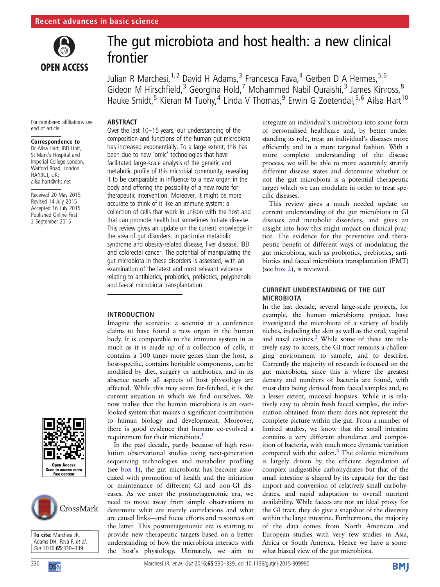ABSTRACT



# The gut microbiota and host health: a new clinical frontier

Julian R Marchesi,<sup>1,2</sup> David H Adams,<sup>3</sup> Francesca Fava,<sup>4</sup> Gerben D A Hermes,<sup>5,6</sup> Gideon M Hirschfield,<sup>3</sup> Georgina Hold,<sup>7</sup> Mohammed Nabil Quraishi,<sup>3</sup> James Kinross,<sup>8</sup> Hauke Smidt,<sup>5</sup> Kieran M Tuohy,<sup>4</sup> Linda V Thomas,<sup>9</sup> Erwin G Zoetendal,<sup>5,6</sup> Ailsa Hart<sup>10</sup>

For numbered affiliations see end of article.

#### Correspondence to

Dr Ailsa Hart, IBD Unit, St Mark's Hospital and Imperial College London, Watford Road, London HA13UJ, UK; ailsa.hart@nhs.net

Received 20 May 2015 Revised 14 July 2015 Accepted 16 July 2015 Published Online First 2 September 2015





To cite: Marchesi JR, Adams DH, Fava F, et al. Gut 2016;65:330–339.

Over the last 10–15 years, our understanding of the composition and functions of the human gut microbiota has increased exponentially. To a large extent, this has been due to new 'omic' technologies that have facilitated large-scale analysis of the genetic and metabolic profile of this microbial community, revealing it to be comparable in influence to a new organ in the body and offering the possibility of a new route for therapeutic intervention. Moreover, it might be more accurate to think of it like an immune system: a collection of cells that work in unison with the host and that can promote health but sometimes initiate disease. This review gives an update on the current knowledge in the area of gut disorders, in particular metabolic syndrome and obesity-related disease, liver disease, IBD and colorectal cancer. The potential of manipulating the gut microbiota in these disorders is assessed, with an examination of the latest and most relevant evidence relating to antibiotics, probiotics, prebiotics, polyphenols and faecal microbiota transplantation.

#### INTRODUCTION

Imagine the scenario: a scientist at a conference claims to have found a new organ in the human body. It is comparable to the immune system in as much as it is made up of a collection of cells, it contains a 100 times more genes than the host, is host-specific, contains heritable components, can be modified by diet, surgery or antibiotics, and in its absence nearly all aspects of host physiology are affected. While this may seem far-fetched, it is the current situation in which we find ourselves. We now realise that the human microbiota is an overlooked system that makes a significant contribution to human biology and development. Moreover, there is good evidence that humans co-evolved a requirement for their microbiota.<sup>[1](#page-7-0)</sup>

In the past decade, partly because of high resolution observational studies using next-generation sequencing technologies and metabolite profiling (see [box 1](#page-1-0)), the gut microbiota has become associated with promotion of health and the initiation or maintenance of different GI and non-GI diseases. As we enter the postmetagenomic era, we need to move away from simple observations to determine what are merely correlations and what are causal links—and focus efforts and resources on the latter. This postmetagenomic era is starting to provide new therapeutic targets based on a better understanding of how the microbiota interacts with the host's physiology. Ultimately, we aim to

integrate an individual's microbiota into some form of personalised healthcare and, by better understanding its role, treat an individual's diseases more efficiently and in a more targeted fashion. With a more complete understanding of the disease process, we will be able to more accurately stratify different disease states and determine whether or not the gut microbiota is a potential therapeutic target which we can modulate in order to treat specific diseases.

This review gives a much needed update on current understanding of the gut microbiota in GI diseases and metabolic disorders, and gives an insight into how this might impact on clinical practice. The evidence for the preventive and therapeutic benefit of different ways of modulating the gut microbiota, such as probiotics, prebiotics, antibiotics and faecal microbiota transplantation (FMT) (see [box 2](#page-1-0)), is reviewed.

## CURRENT UNDERSTANDING OF THE GUT MICROBIOTA

In the last decade, several large-scale projects, for example, the human microbiome project, have investigated the microbiota of a variety of bodily niches, including the skin as well as the oral, vaginal and nasal cavities.<sup>[2](#page-7-0)</sup> While some of these are relatively easy to access, the GI tract remains a challenging environment to sample, and to describe. Currently the majority of research is focused on the gut microbiota, since this is where the greatest density and numbers of bacteria are found, with most data being derived from faecal samples and, to a lesser extent, mucosal biopsies. While it is relatively easy to obtain fresh faecal samples, the information obtained from them does not represent the complete picture within the gut. From a number of limited studies, we know that the small intestine contains a very different abundance and composition of bacteria, with much more dynamic variation compared with the colon.<sup>[3](#page-7-0)</sup> The colonic microbiota is largely driven by the efficient degradation of complex indigestible carbohydrates but that of the small intestine is shaped by its capacity for the fast import and conversion of relatively small carbohydrates, and rapid adaptation to overall nutrient availability. While faeces are not an ideal proxy for the GI tract, they do give a snapshot of the diversity within the large intestine. Furthermore, the majority of the data comes from North American and European studies with very few studies in Asia, Africa or South America. Hence we have a somewhat biased view of the gut microbiota.

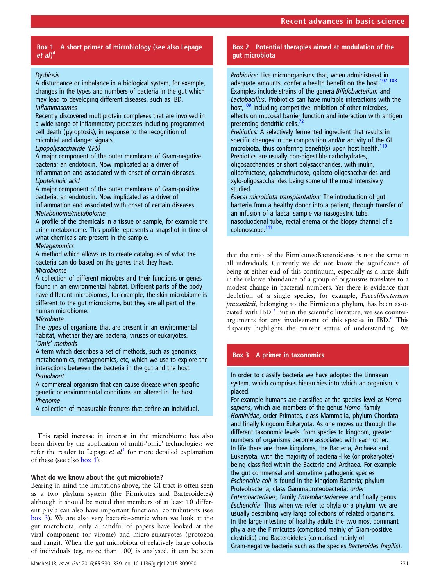# <span id="page-1-0"></span>Box 1 A short primer of microbiology (see also Lepage et al) [4](#page-7-0)

# **Dysbiosis**

A disturbance or imbalance in a biological system, for example, changes in the types and numbers of bacteria in the gut which may lead to developing different diseases, such as IBD. Inflammasomes

Recently discovered multiprotein complexes that are involved in a wide range of inflammatory processes including programmed cell death (pyroptosis), in response to the recognition of microbial and danger signals.

## Lipopolysaccharide (LPS)

A major component of the outer membrane of Gram-negative bacteria; an endotoxin. Now implicated as a driver of inflammation and associated with onset of certain diseases. Lipoteichoic acid

A major component of the outer membrane of Gram-positive bacteria; an endotoxin. Now implicated as a driver of inflammation and associated with onset of certain diseases. Metabonome/metabolome

A profile of the chemicals in a tissue or sample, for example the urine metabonome. This profile represents a snapshot in time of what chemicals are present in the sample.

# **Metagenomics**

A method which allows us to create catalogues of what the bacteria can do based on the genes that they have. Microbiome

A collection of different microbes and their functions or genes found in an environmental habitat. Different parts of the body have different microbiomes, for example, the skin microbiome is different to the gut microbiome, but they are all part of the human microbiome.

# **Microbiota**

The types of organisms that are present in an environmental habitat, whether they are bacteria, viruses or eukaryotes. 'Omic' methods

A term which describes a set of methods, such as genomics, metabonomics, metagenomics, etc, which we use to explore the interactions between the bacteria in the gut and the host. **Pathobiont** 

A commensal organism that can cause disease when specific genetic or environmental conditions are altered in the host. Phenome

A collection of measurable features that define an individual.

This rapid increase in interest in the microbiome has also been driven by the application of multi-'omic' technologies; we refer the reader to Lepage *et al*<sup>[4](#page-7-0)</sup> for more detailed explanation of these (see also box 1).

# What do we know about the gut microbiota?

Bearing in mind the limitations above, the GI tract is often seen as a two phylum system (the Firmicutes and Bacteroidetes) although it should be noted that members of at least 10 different phyla can also have important functional contributions (see box 3). We are also very bacteria-centric when we look at the gut microbiota; only a handful of papers have looked at the viral component (or virome) and micro-eukaryotes (protozoa and fungi). When the gut microbiota of relatively large cohorts of individuals (eg, more than 100) is analysed, it can be seen

## Box 2 Potential therapies aimed at modulation of the gut microbiota

Probiotics: Live microorganisms that, when administered in adequate amounts, confer a health benefit on the host.<sup>[107 108](#page-9-0)</sup> Examples include strains of the genera Bifidobacterium and Lactobacillus. Probiotics can have multiple interactions with the host.<sup>[109](#page-9-0)</sup> including competitive inhibition of other microbes, effects on mucosal barrier function and interaction with antigen presenting dendritic cells.<sup>[72](#page-9-0)</sup>

Prebiotics: A selectively fermented ingredient that results in specific changes in the composition and/or activity of the GI microbiota, thus conferring benefit(s) upon host health.<sup>[110](#page-9-0)</sup> Prebiotics are usually non-digestible carbohydrates, oligosaccharides or short polysaccharides, with inulin, oligofructose, galactofructose, galacto-oligosaccharides and xylo-oligosaccharides being some of the most intensively studied.

Faecal microbiota transplantation: The introduction of gut bacteria from a healthy donor into a patient, through transfer of an infusion of a faecal sample via nasogastric tube, nasoduodenal tube, rectal enema or the biopsy channel of a colonoscope[.111](#page-9-0)

that the ratio of the Firmicutes:Bacteroidetes is not the same in all individuals. Currently we do not know the significance of being at either end of this continuum, especially as a large shift in the relative abundance of a group of organisms translates to a modest change in bacterial numbers. Yet there is evidence that depletion of a single species, for example, Faecalibacterium prausnitzii, belonging to the Firmicutes phylum, has been associated with IBD. $<sup>5</sup>$  $<sup>5</sup>$  $<sup>5</sup>$  But in the scientific literature, we see counter-</sup> arguments for any involvement of this species in IBD.<sup>[6](#page-7-0)</sup> This disparity highlights the current status of understanding. We

# Box 3 A primer in taxonomics

In order to classify bacteria we have adopted the Linnaean system, which comprises hierarchies into which an organism is placed.

For example humans are classified at the species level as Homo sapiens, which are members of the genus Homo, family Hominidae, order Primates, class Mammalia, phylum Chordata and finally kingdom Eukaryota. As one moves up through the different taxonomic levels, from species to kingdom, greater numbers of organisms become associated with each other. In life there are three kingdoms, the Bacteria, Archaea and Eukaryota, with the majority of bacterial-like (or prokaryotes) being classified within the Bacteria and Archaea. For example the gut commensal and sometime pathogenic species Escherichia coli is found in the kingdom Bacteria; phylum Proteobacteria; class Gammaproteobacteria; order Enterobacteriales; family Enterobacteriaceae and finally genus Escherichia. Thus when we refer to phyla or a phylum, we are usually describing very large collections of related organisms. In the large intestine of healthy adults the two most dominant phyla are the Firmicutes (comprised mainly of Gram-positive clostridia) and Bacteroidetes (comprised mainly of Gram-negative bacteria such as the species Bacteroides fragilis).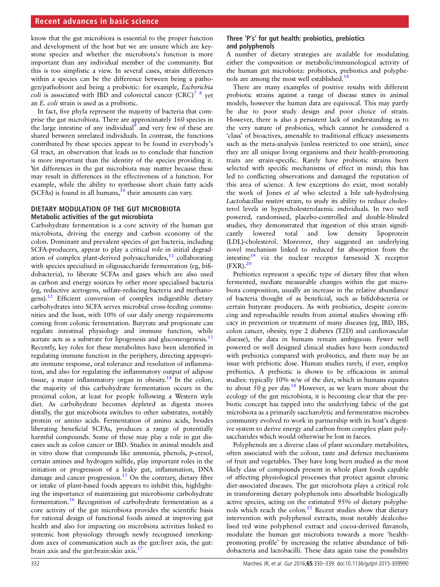know that the gut microbiota is essential to the proper function and development of the host but we are unsure which are keystone species and whether the microbiota's function is more important than any individual member of the community. But this is too simplistic a view. In several cases, strain differences within a species can be the difference between being a pathogen/pathobiont and being a probiotic: for example, Escherichia *coli* is associated with IBD and colorectal cancer  $(CRC)^{7}$  $(CRC)^{7}$  $(CRC)^{7}$ <sup>8</sup> yet an E. coli strain is used as a probiotic.

In fact, five phyla represent the majority of bacteria that comprise the gut microbiota. There are approximately 160 species in the large intestine of any individual<sup>[9](#page-8-0)</sup> and very few of these are shared between unrelated individuals. In contrast, the functions contributed by these species appear to be found in everybody's GI tract, an observation that leads us to conclude that function is more important than the identity of the species providing it. Yet differences in the gut microbiota may matter because these may result in differences in the effectiveness of a function. For example, while the ability to synthesise short chain fatty acids  $(SCFAs)$  is found in all humans,<sup>10</sup> their amounts can vary.

#### DIETARY MODULATION OF THE GUT MICROBIOTA Metabolic activities of the gut microbiota

Carbohydrate fermentation is a core activity of the human gut microbiota, driving the energy and carbon economy of the colon. Dominant and prevalent species of gut bacteria, including SCFA-producers, appear to play a critical role in initial degradation of complex plant-derived polysaccharides, $11$  collaborating with species specialised in oligosaccharide fermentation (eg, bifidobacteria), to liberate SCFAs and gases which are also used as carbon and energy sources by other more specialised bacteria (eg, reductive acetogens, sulfate-reducing bacteria and methano-gens).<sup>[12](#page-8-0)</sup> Efficient conversion of complex indigestible dietary carbohydrates into SCFA serves microbial cross-feeding communities and the host, with 10% of our daily energy requirements coming from colonic fermentation. Butyrate and propionate can regulate intestinal physiology and immune function, while acetate acts as a substrate for lipogenesis and gluconeogenesis.<sup>13</sup> Recently, key roles for these metabolites have been identified in regulating immune function in the periphery, directing appropriate immune response, oral tolerance and resolution of inflammation, and also for regulating the inflammatory output of adipose tissue, a major inflammatory organ in obesity. $14$  In the colon, the majority of this carbohydrate fermentation occurs in the proximal colon, at least for people following a Western style diet. As carbohydrate becomes depleted as digesta moves distally, the gut microbiota switches to other substrates, notably protein or amino acids. Fermentation of amino acids, besides liberating beneficial SCFAs, produces a range of potentially harmful compounds. Some of these may play a role in gut diseases such as colon cancer or IBD. Studies in animal models and in vitro show that compounds like ammonia, phenols, p-cresol, certain amines and hydrogen sulfide, play important roles in the initiation or progression of a leaky gut, inflammation, DNA damage and cancer progression.<sup>[15](#page-8-0)</sup> On the contrary, dietary fibre or intake of plant-based foods appears to inhibit this, highlighting the importance of maintaining gut microbiome carbohydrate fermentation.<sup>[16](#page-8-0)</sup> Recognition of carbohydrate fermentation as a core activity of the gut microbiota provides the scientific basis for rational design of functional foods aimed at improving gut health and also for impacting on microbiota activities linked to systemic host physiology through newly recognised interkingdom axes of communication such as the gut:liver axis, the gut: brain axis and the gut:brain:skin axis.<sup>1</sup>

#### Three 'P's' for gut health: probiotics, prebiotics and polyphenols

A number of dietary strategies are available for modulating either the composition or metabolic/immunological activity of the human gut microbiota: probiotics, prebiotics and polyphenols are among the most well established.[18](#page-8-0)

There are many examples of positive results with different probiotic strains against a range of disease states in animal models, however the human data are equivocal. This may partly be due to poor study design and poor choice of strain. However, there is also a persistent lack of understanding as to the very nature of probiotics, which cannot be considered a 'class' of bioactives, amenable to traditional efficacy assessments such as the meta-analysis (unless restricted to one strain), since they are all unique living organisms and their health-promoting traits are strain-specific. Rarely have probiotic strains been selected with specific mechanisms of effect in mind; this has led to conflicting observations and damaged the reputation of this area of science. A few exceptions do exist, most notably the work of Jones et al who selected a bile salt-hydrolysing Lactobacillus reuteri strain, to study its ability to reduce cholesterol levels in hypercholesterolaemic individuals. In two well powered, randomised, placebo-controlled and double-blinded studies, they demonstrated that ingestion of this strain significantly lowered total and low density lipoprotein (LDL)-cholesterol. Moreover, they suggested an underlying novel mechanism linked to reduced fat absorption from the intestine[19](#page-8-0) via the nuclear receptor farnesoid X receptor  $(FXR).^{20}$ 

Prebiotics represent a specific type of dietary fibre that when fermented, mediate measurable changes within the gut microbiota composition, usually an increase in the relative abundance of bacteria thought of as beneficial, such as bifidobacteria or certain butyrate producers. As with probiotics, despite convincing and reproducible results from animal studies showing efficacy in prevention or treatment of many diseases (eg, IBD, IBS, colon cancer, obesity, type 2 diabetes (T2D) and cardiovascular disease), the data in humans remain ambiguous. Fewer well powered or well designed clinical studies have been conducted with prebiotics compared with probiotics, and there may be an issue with prebiotic dose. Human studies rarely, if ever, employ prebiotics. A prebiotic is shown to be efficacious in animal studies: typically 10% w/w of the diet, which in humans equates to about 50 g per day.<sup>[18](#page-8-0)</sup> However, as we learn more about the ecology of the gut microbiota, it is becoming clear that the prebiotic concept has tapped into the underlying fabric of the gut microbiota as a primarily saccharolytic and fermentative microbes community evolved to work in partnership with its host's digestive system to derive energy and carbon from complex plant polysaccharides which would otherwise be lost in faeces.

Polyphenols are a diverse class of plant secondary metabolites, often associated with the colour, taste and defence mechanisms of fruit and vegetables. They have long been studied as the most likely class of compounds present in whole plant foods capable of affecting physiological processes that protect against chronic diet-associated diseases. The gut microbiota plays a critical role in transforming dietary polyphenols into absorbable biologically active species, acting on the estimated 95% of dietary polyphenols which reach the colon.[21](#page-8-0) Recent studies show that dietary intervention with polyphenol extracts, most notably dealcoholised red wine polyphenol extract and cocoa-derived flavanols, modulate the human gut microbiota towards a more 'healthpromoting profile' by increasing the relative abundance of bifidobacteria and lactobacilli. These data again raise the possibility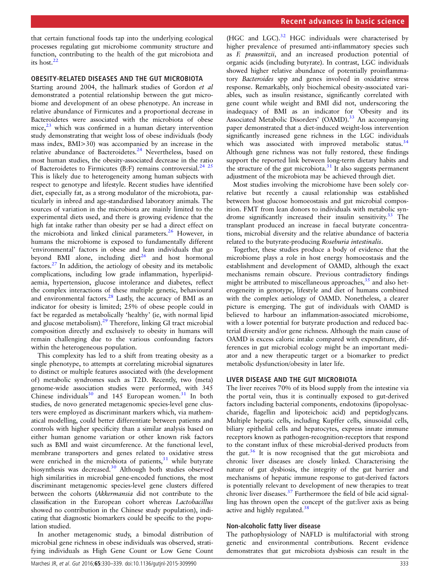that certain functional foods tap into the underlying ecological processes regulating gut microbiome community structure and function, contributing to the health of the gut microbiota and its host. $^{22}$  $^{22}$  $^{22}$ 

## OBESITY-RELATED DISEASES AND THE GUT MICROBIOTA

Starting around 2004, the hallmark studies of Gordon et al demonstrated a potential relationship between the gut microbiome and development of an obese phenotype. An increase in relative abundance of Firmicutes and a proportional decrease in Bacteroidetes were associated with the microbiota of obese mice, $^{23}$  which was confirmed in a human dietary intervention study demonstrating that weight loss of obese individuals (body mass index, BMI>30) was accompanied by an increase in the relative abundance of Bacteroidetes.<sup>[24](#page-8-0)</sup> Nevertheless, based on most human studies, the obesity-associated decrease in the ratio of Bacteroidetes to Firmicutes (B:F) remains controversial.<sup>24</sup> <sup>25</sup> This is likely due to heterogeneity among human subjects with respect to genotype and lifestyle. Recent studies have identified diet, especially fat, as a strong modulator of the microbiota, particularly in inbred and age-standardised laboratory animals. The sources of variation in the microbiota are mainly limited to the experimental diets used, and there is growing evidence that the high fat intake rather than obesity per se had a direct effect on the microbiota and linked clinical parameters.<sup>[26](#page-8-0)</sup> However, in humans the microbiome is exposed to fundamentally different 'environmental' factors in obese and lean individuals that go beyond BMI alone, including diet<sup>[26](#page-8-0)</sup> and host hormonal factors.[27](#page-8-0) In addition, the aetiology of obesity and its metabolic complications, including low grade inflammation, hyperlipidaemia, hypertension, glucose intolerance and diabetes, reflect the complex interactions of these multiple genetic, behavioural and environmental factors. $28$  Lastly, the accuracy of BMI as an indicator for obesity is limited; 25% of obese people could in fact be regarded as metabolically 'healthy' (ie, with normal lipid and glucose metabolism). $^{29}$  $^{29}$  $^{29}$  Therefore, linking GI tract microbial composition directly and exclusively to obesity in humans will remain challenging due to the various confounding factors within the heterogeneous population.

This complexity has led to a shift from treating obesity as a single phenotype, to attempts at correlating microbial signatures to distinct or multiple features associated with (the development of) metabolic syndromes such as T2D. Recently, two (meta) genome-wide association studies were performed, with 345 Chinese individuals $30$  and 145 European women. In both studies, de novo generated metagenomic species-level gene clusters were employed as discriminant markers which, via mathematical modelling, could better differentiate between patients and controls with higher specificity than a similar analysis based on either human genome variation or other known risk factors such as BMI and waist circumference. At the functional level, membrane transporters and genes related to oxidative stress were enriched in the microbiota of patients, $31$  while butyrate biosynthesis was decreased.<sup>[30](#page-8-0)</sup> Although both studies observed high similarities in microbial gene-encoded functions, the most discriminant metagenomic species-level gene clusters differed between the cohorts (Akkermansia did not contribute to the classification in the European cohort whereas Lactobacillus showed no contribution in the Chinese study population), indicating that diagnostic biomarkers could be specific to the population studied.

In another metagenomic study, a bimodal distribution of microbial gene richness in obese individuals was observed, stratifying individuals as High Gene Count or Low Gene Count

(HGC and LGC).<sup>[32](#page-8-0)</sup> HGC individuals were characterised by higher prevalence of presumed anti-inflammatory species such as F. prausnitzii, and an increased production potential of organic acids (including butyrate). In contrast, LGC individuals showed higher relative abundance of potentially proinflammatory Bacteroides spp and genes involved in oxidative stress response. Remarkably, only biochemical obesity-associated variables, such as insulin resistance, significantly correlated with gene count while weight and BMI did not, underscoring the inadequacy of BMI as an indicator for 'Obesity and its Associated Metabolic Disorders' (OAMD).<sup>[33](#page-8-0)</sup> An accompanying paper demonstrated that a diet-induced weight-loss intervention significantly increased gene richness in the LGC individuals which was associated with improved metabolic status.<sup>[34](#page-8-0)</sup> Although gene richness was not fully restored, these findings support the reported link between long-term dietary habits and the structure of the gut microbiota.<sup>[31](#page-8-0)</sup> It also suggests permanent adjustment of the microbiota may be achieved through diet.

Most studies involving the microbiome have been solely correlative but recently a causal relationship was established between host glucose homoeostasis and gut microbial composition. FMT from lean donors to individuals with metabolic syn-drome significantly increased their insulin sensitivity.<sup>[33](#page-8-0)</sup> The transplant produced an increase in faecal butyrate concentrations, microbial diversity and the relative abundance of bacteria related to the butyrate-producing Roseburia intestinalis.

Together, these studies produce a body of evidence that the microbiome plays a role in host energy homoeostasis and the establishment and development of OAMD, although the exact mechanisms remain obscure. Previous contradictory findings might be attributed to miscellaneous approaches, $35$  and also heterogeneity in genotype, lifestyle and diet of humans combined with the complex aetiology of OAMD. Nonetheless, a clearer picture is emerging. The gut of individuals with OAMD is believed to harbour an inflammation-associated microbiome, with a lower potential for butyrate production and reduced bacterial diversity and/or gene richness. Although the main cause of OAMD is excess caloric intake compared with expenditure, differences in gut microbial ecology might be an important mediator and a new therapeutic target or a biomarker to predict metabolic dysfunction/obesity in later life.

## LIVER DISEASE AND THE GUT MICROBIOTA

The liver receives 70% of its blood supply from the intestine via the portal vein, thus it is continually exposed to gut-derived factors including bacterial components, endotoxins (lipopolysaccharide, flagellin and lipoteichoic acid) and peptidoglycans. Multiple hepatic cells, including Kupffer cells, sinusoidal cells, biliary epithelial cells and hepatocytes, express innate immune receptors known as pathogen-recognition-receptors that respond to the constant influx of these microbial-derived products from the gut.<sup>[36](#page-8-0)</sup> It is now recognised that the gut microbiota and chronic liver diseases are closely linked. Characterising the nature of gut dysbiosis, the integrity of the gut barrier and mechanisms of hepatic immune response to gut-derived factors is potentially relevant to development of new therapies to treat chronic liver diseases. $37$  Furthermore the field of bile acid signalling has thrown open the concept of the gut:liver axis as being active and highly regulated.<sup>[38](#page-8-0)</sup>

## Non-alcoholic fatty liver disease

The pathophysiology of NAFLD is multifactorial with strong genetic and environmental contributions. Recent evidence demonstrates that gut microbiota dysbiosis can result in the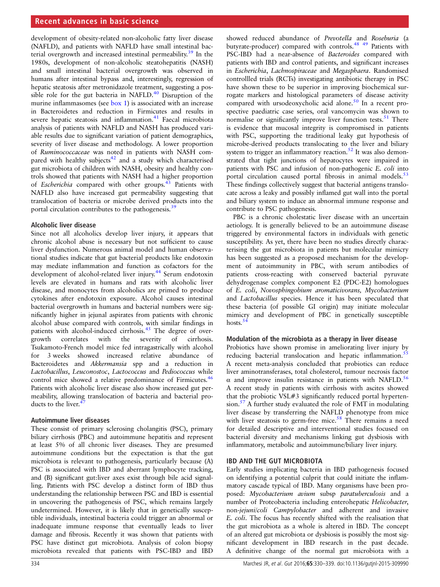development of obesity-related non-alcoholic fatty liver disease (NAFLD), and patients with NAFLD have small intestinal bac-terial overgrowth and increased intestinal permeability.<sup>[39](#page-8-0)</sup> In the 1980s, development of non-alcoholic steatohepatitis (NASH) and small intestinal bacterial overgrowth was observed in humans after intestinal bypass and, interestingly, regression of hepatic steatosis after metronidazole treatment, suggesting a possible role for the gut bacteria in NAFLD. $40$  Disruption of the murine inflammasomes (see [box 1](#page-1-0)) is associated with an increase in Bacteroidetes and reduction in Firmicutes and results in severe hepatic steatosis and inflammation.<sup>[41](#page-8-0)</sup> Faecal microbiota analysis of patients with NAFLD and NASH has produced variable results due to significant variation of patient demographics, severity of liver disease and methodology. A lower proportion of Ruminococcaceae was noted in patients with NASH com-pared with healthy subjects<sup>[42](#page-8-0)</sup> and a study which characterised gut microbiota of children with NASH, obesity and healthy controls showed that patients with NASH had a higher proportion of *Escherichia* compared with other groups.<sup>[43](#page-8-0)</sup> Patients with NAFLD also have increased gut permeability suggesting that translocation of bacteria or microbe derived products into the portal circulation contributes to the pathogenesis.<sup>[39](#page-8-0)</sup>

## Alcoholic liver disease

Since not all alcoholics develop liver injury, it appears that chronic alcohol abuse is necessary but not sufficient to cause liver dysfunction. Numerous animal model and human observational studies indicate that gut bacterial products like endotoxin may mediate inflammation and function as cofactors for the development of alcohol-related liver injury.<sup>[44](#page-8-0)</sup> Serum endotoxin levels are elevated in humans and rats with alcoholic liver disease, and monocytes from alcoholics are primed to produce cytokines after endotoxin exposure. Alcohol causes intestinal bacterial overgrowth in humans and bacterial numbers were significantly higher in jejunal aspirates from patients with chronic alcohol abuse compared with controls, with similar findings in patients with alcohol-induced cirrhosis.<sup>[45](#page-8-0)</sup> The degree of overgrowth correlates with the severity of cirrhosis. Tsukamoto-French model mice fed intragastrically with alcohol for 3 weeks showed increased relative abundance of Bacteroidetes and Akkermansia spp and a reduction in Lactobacillus, Leuconostoc, Lactococcus and Pediococcus while control mice showed a relative predominance of Firmicutes.<sup>46</sup> Patients with alcoholic liver disease also show increased gut permeability, allowing translocation of bacteria and bacterial products to the liver.<sup>4</sup>

## Autoimmune liver diseases

These consist of primary sclerosing cholangitis (PSC), primary biliary cirrhosis (PBC) and autoimmune hepatitis and represent at least 5% of all chronic liver diseases. They are presumed autoimmune conditions but the expectation is that the gut microbiota is relevant to pathogenesis, particularly because (A) PSC is associated with IBD and aberrant lymphocyte tracking, and (B) significant gut:liver axes exist through bile acid signalling. Patients with PSC develop a distinct form of IBD thus understanding the relationship between PSC and IBD is essential in uncovering the pathogenesis of PSC, which remains largely undetermined. However, it is likely that in genetically susceptible individuals, intestinal bacteria could trigger an abnormal or inadequate immune response that eventually leads to liver damage and fibrosis. Recently it was shown that patients with PSC have distinct gut microbiota. Analysis of colon biopsy microbiota revealed that patients with PSC-IBD and IBD

showed reduced abundance of Prevotella and Roseburia (a butyrate-producer) compared with controls.<sup>48</sup> <sup>49</sup> Patients with PSC-IBD had a near-absence of Bacteroides compared with patients with IBD and control patients, and significant increases in Escherichia, Lachnospiraceae and Megasphaera. Randomised controllled trials (RCTs) investigating antibiotic therapy in PSC have shown these to be superior in improving biochemical surrogate markers and histological parameters of disease activity compared with ursodeoxycholic acid alone.<sup>[50](#page-8-0)</sup> In a recent prospective paediatric case series, oral vancomycin was shown to normalise or significantly improve liver function tests.<sup>[51](#page-8-0)</sup> There is evidence that mucosal integrity is compromised in patients with PSC, supporting the traditional leaky gut hypothesis of microbe-derived products translocating to the liver and biliary system to trigger an inflammatory reaction.<sup>[52](#page-8-0)</sup> It was also demonstrated that tight junctions of hepatocytes were impaired in patients with PSC and infusion of non-pathogenic E. coli into portal circulation caused portal fibrosis in animal models.<sup>[53](#page-8-0)</sup> These findings collectively suggest that bacterial antigens translocate across a leaky and possibly inflamed gut wall into the portal and biliary system to induce an abnormal immune response and contribute to PSC pathogenesis.

PBC is a chronic cholestatic liver disease with an uncertain aetiology. It is generally believed to be an autoimmune disease triggered by environmental factors in individuals with genetic susceptibility. As yet, there have been no studies directly characterising the gut microbiota in patients but molecular mimicry has been suggested as a proposed mechanism for the development of autoimmunity in PBC, with serum antibodies of patients cross-reacting with conserved bacterial pyruvate dehydrogenase complex component E2 (PDC-E2) homologues of E. coli, Novosphingobium aromaticivorans, Mycobacterium and Lactobacillus species. Hence it has been speculated that these bacteria (of possible GI origin) may initiate molecular mimicry and development of PBC in genetically susceptible hosts. $5\frac{5}{3}$ 

#### Modulation of the microbiota as a therapy in liver disease

Probiotics have shown promise in ameliorating liver injury by reducing bacterial translocation and hepatic inflammation. $55$ A recent meta-analysis concluded that probiotics can reduce liver aminotransferases, total cholesterol, tumour necrosis factor  $\alpha$  and improve insulin resistance in patients with NAFLD.<sup>[56](#page-8-0)</sup> A recent study in patients with cirrhosis with ascites showed that the probiotic VSL#3 significantly reduced portal hypertension.[57](#page-8-0) A further study evaluated the role of FMT in modulating liver disease by transferring the NAFLD phenotype from mice with liver steatosis to germ-free mice.<sup>[58](#page-8-0)</sup> There remains a need for detailed descriptive and interventional studies focused on bacterial diversity and mechanisms linking gut dysbiosis with inflammatory, metabolic and autoimmune/biliary liver injury.

#### IBD AND THE GUT MICROBIOTA

Early studies implicating bacteria in IBD pathogenesis focused on identifying a potential culprit that could initiate the inflammatory cascade typical of IBD. Many organisms have been proposed: Mycobacterium avium subsp paratuberculosis and a number of Proteobacteria including enterohepatic Helicobacter, non-jejuni/coli Campylobacter and adherent and invasive E. coli. The focus has recently shifted with the realisation that the gut microbiota as a whole is altered in IBD. The concept of an altered gut microbiota or dysbiosis is possibly the most significant development in IBD research in the past decade. A definitive change of the normal gut microbiota with a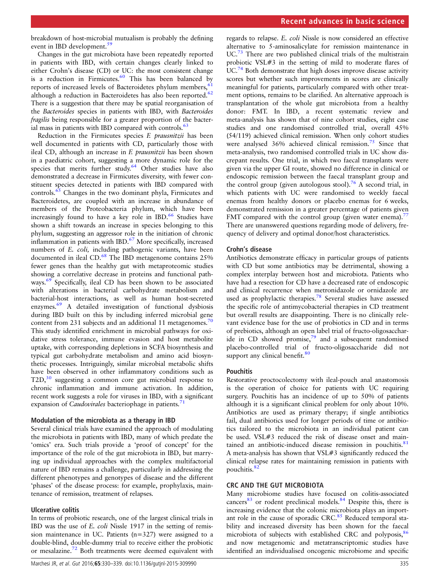breakdown of host-microbial mutualism is probably the defining event in IBD development.<sup>[59](#page-8-0)</sup>

Changes in the gut microbiota have been repeatedly reported in patients with IBD, with certain changes clearly linked to either Crohn's disease (CD) or UC: the most consistent change is a reduction in Firmicutes. $60$  This has been balanced by reports of increased levels of Bacteroidetes phylum members,  $61$ although a reduction in Bacteroidetes has also been reported.<sup>62</sup> There is a suggestion that there may be spatial reorganisation of the Bacteroides species in patients with IBD, with Bacteroides fragilis being responsible for a greater proportion of the bacter-ial mass in patients with IBD compared with controls.<sup>[63](#page-8-0)</sup>

Reduction in the Firmicutes species F. prausnitzii has been well documented in patients with CD, particularly those with ileal CD, although an increase in F. *prausnitzii* has been shown in a paediatric cohort, suggesting a more dynamic role for the species that merits further study.<sup>[64](#page-8-0)</sup> Other studies have also demonstrated a decrease in Firmicutes diversity, with fewer constituent species detected in patients with IBD compared with controls. $65$  Changes in the two dominant phyla, Firmicutes and Bacteroidetes, are coupled with an increase in abundance of members of the Proteobacteria phylum, which have been increasingly found to have a key role in IBD. $66$  Studies have shown a shift towards an increase in species belonging to this phylum, suggesting an aggressor role in the initiation of chronic inflammation in patients with IBD.<sup>[67](#page-8-0)</sup> More specifically, increased numbers of E. coli, including pathogenic variants, have been documented in ileal CD.<sup>[68](#page-8-0)</sup> The IBD metagenome contains 25% fewer genes than the healthy gut with metaproteomic studies showing a correlative decrease in proteins and functional path-ways.<sup>[69](#page-9-0)</sup> Specifically, ileal CD has been shown to be associated with alterations in bacterial carbohydrate metabolism and bacterial-host interactions, as well as human host-secreted enzymes.[69](#page-9-0) A detailed investigation of functional dysbiosis during IBD built on this by including inferred microbial gene content from 231 subjects and an additional 11 metagenomes.<sup>70</sup> This study identified enrichment in microbial pathways for oxidative stress tolerance, immune evasion and host metabolite uptake, with corresponding depletions in SCFA biosynthesis and typical gut carbohydrate metabolism and amino acid biosynthetic processes. Intriguingly, similar microbial metabolic shifts have been observed in other inflammatory conditions such as T2D,<sup>30</sup> suggesting a common core gut microbial response to chronic inflammation and immune activation. In addition, recent work suggests a role for viruses in IBD, with a significant expansion of Caudovirales bacteriophage in patients.<sup>7</sup>

## Modulation of the microbiota as a therapy in IBD

Several clinical trials have examined the approach of modulating the microbiota in patients with IBD, many of which predate the 'omics' era. Such trials provide a 'proof of concept' for the importance of the role of the gut microbiota in IBD, but marrying up individual approaches with the complex multifactorial nature of IBD remains a challenge, particularly in addressing the different phenotypes and genotypes of disease and the different 'phases' of the disease process: for example, prophylaxis, maintenance of remission, treatment of relapses.

#### Ulcerative colitis

In terms of probiotic research, one of the largest clinical trials in IBD was the use of E. coli Nissle 1917 in the setting of remission maintenance in UC. Patients (n=327) were assigned to a double-blind, double-dummy trial to receive either the probiotic or mesalazine.[72](#page-9-0) Both treatments were deemed equivalent with

regards to relapse. E. coli Nissle is now considered an effective alternative to 5-aminosalicylate for remission maintenance in UC.<sup>[73](#page-9-0)</sup> There are two published clinical trials of the multistrain probiotic VSL#3 in the setting of mild to moderate flares of UC.<sup>[74](#page-9-0)</sup> Both demonstrate that high doses improve disease activity scores but whether such improvements in scores are clinically meaningful for patients, particularly compared with other treatment options, remains to be clarified. An alternative approach is transplantation of the whole gut microbiota from a healthy donor: FMT. In IBD, a recent systematic review and meta-analysis has shown that of nine cohort studies, eight case studies and one randomised controlled trial, overall 45% (54/119) achieved clinical remission. When only cohort studies were analysed  $36\%$  achieved clinical remission.<sup>[75](#page-9-0)</sup> Since that meta-analysis, two randomised controlled trials in UC show discrepant results. One trial, in which two faecal transplants were given via the upper GI route, showed no difference in clinical or endoscopic remission between the faecal transplant group and the control group (given autologous stool).<sup>[76](#page-9-0)</sup> A second trial, in which patients with UC were randomised to weekly faecal enemas from healthy donors or placebo enemas for 6 weeks, demonstrated remission in a greater percentage of patients given FMT compared with the control group (given water enema).<sup>[77](#page-9-0)</sup> There are unanswered questions regarding mode of delivery, frequency of delivery and optimal donor/host characteristics.

## Crohn's disease

Antibiotics demonstrate efficacy in particular groups of patients with CD but some antibiotics may be detrimental, showing a complex interplay between host and microbiota. Patients who have had a resection for CD have a decreased rate of endoscopic and clinical recurrence when metronidazole or ornidazole are used as prophylactic therapies.<sup>[78](#page-9-0)</sup> Several studies have assessed the specific role of antimycobacterial therapies in CD treatment but overall results are disappointing. There is no clinically relevant evidence base for the use of probiotics in CD and in terms of prebiotics, although an open label trial of fructo-oligosaccharide in CD showed promise, $79$  and a subsequent randomised placebo-controlled trial of fructo-oligosaccharide did not support any clinical benefit.<sup>[80](#page-9-0)</sup>

## **Pouchitis**

Restorative proctocolectomy with ileal-pouch anal anastomosis is the operation of choice for patients with UC requiring surgery. Pouchitis has an incidence of up to 50% of patients although it is a significant clinical problem for only about 10%. Antibiotics are used as primary therapy; if single antibiotics fail, dual antibiotics used for longer periods of time or antibiotics tailored to the microbiota in an individual patient can be used. VSL#3 reduced the risk of disease onset and main-tained an antibiotic-induced disease remission in pouchitis.<sup>[81](#page-9-0)</sup> A meta-analysis has shown that VSL#3 significantly reduced the clinical relapse rates for maintaining remission in patients with pouchitis.<sup>[82](#page-9-0)</sup>

#### CRC AND THE GUT MICROBIOTA

Many microbiome studies have focused on colitis-associated cancers<sup>83</sup> or rodent preclinical models.<sup>84</sup> Despite this, there is increasing evidence that the colonic microbiota plays an import-ant role in the cause of sporadic CRC.<sup>[85](#page-9-0)</sup> Reduced temporal stability and increased diversity has been shown for the faecal microbiota of subjects with established CRC and polyposis,<sup>[86](#page-9-0)</sup> and now metagenomic and metatranscriptomic studies have identified an individualised oncogenic microbiome and specific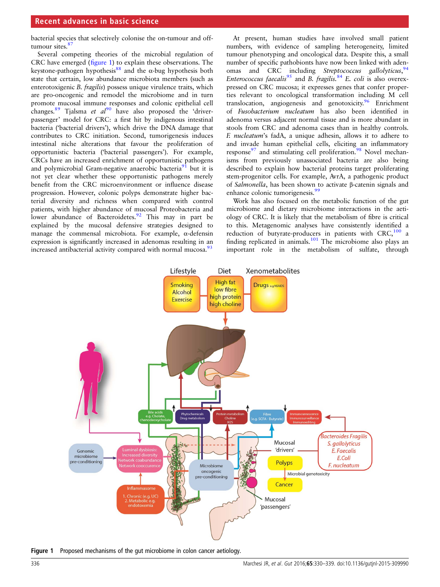bacterial species that selectively colonise the on-tumour and offtumour sites.<sup>8</sup>

Several competing theories of the microbial regulation of CRC have emerged (figure 1) to explain these observations. The keystone-pathogen hypothesis<sup>[88](#page-9-0)</sup> and the α-bug hypothesis both state that certain, low abundance microbiota members (such as enterotoxigenic B. fragilis) possess unique virulence traits, which are pro-oncogenic and remodel the microbiome and in turn promote mucosal immune responses and colonic epithelial cell changes.<sup>89</sup> Tjalsma et  $al^{90}$  $al^{90}$  $al^{90}$  have also proposed the 'driverpassenger' model for CRC: a first hit by indigenous intestinal bacteria ('bacterial drivers'), which drive the DNA damage that contributes to CRC initiation. Second, tumorigenesis induces intestinal niche alterations that favour the proliferation of opportunistic bacteria ('bacterial passengers'). For example, CRCs have an increased enrichment of opportunistic pathogens and polymicrobial Gram-negative anaerobic bacteria<sup>[91](#page-9-0)</sup> but it is not yet clear whether these opportunistic pathogens merely benefit from the CRC microenvironment or influence disease progression. However, colonic polyps demonstrate higher bacterial diversity and richness when compared with control patients, with higher abundance of mucosal Proteobacteria and lower abundance of Bacteroidetes.<sup>[92](#page-9-0)</sup> This may in part be explained by the mucosal defensive strategies designed to manage the commensal microbiota. For example, α-defensin expression is significantly increased in adenomas resulting in an increased antibacterial activity compared with normal mucosa.<sup>[93](#page-9-0)</sup>

At present, human studies have involved small patient numbers, with evidence of sampling heterogeneity, limited tumour phenotyping and oncological data. Despite this, a small number of specific pathobionts have now been linked with aden-omas and CRC including Streptococcus gallolyticus,<sup>[94](#page-9-0)</sup> Enterococcus faecalis<sup>[95](#page-9-0)</sup> and B. fragilis.<sup>[84](#page-9-0)</sup> E. coli is also overexpressed on CRC mucosa; it expresses genes that confer properties relevant to oncological transformation including M cell translocation, angiogenesis and genotoxicity.<sup>[96](#page-9-0)</sup> Enrichment of Fusobacterium nucleatum has also been identified in adenoma versus adjacent normal tissue and is more abundant in stools from CRC and adenoma cases than in healthy controls. F. nucleatum's fadA, a unique adhesin, allows it to adhere to and invade human epithelial cells, eliciting an inflammatory response<sup>[97](#page-9-0)</sup> and stimulating cell proliferation.<sup>98</sup> Novel mechanisms from previously unassociated bacteria are also being described to explain how bacterial proteins target proliferating stem-progenitor cells. For example, AvrA, a pathogenic product of Salmonella, has been shown to activate β-catenin signals and enhance colonic tumorigenesis.<sup>[99](#page-9-0)</sup>

Work has also focused on the metabolic function of the gut microbiome and dietary microbiome interactions in the aetiology of CRC. It is likely that the metabolism of fibre is critical to this. Metagenomic analyses have consistently identified a reduction of butyrate-producers in patients with  $CRC$ ,<sup>[100](#page-9-0)</sup> a finding replicated in animals.[101](#page-9-0) The microbiome also plays an important role in the metabolism of sulfate, through



Figure 1 Proposed mechanisms of the gut microbiome in colon cancer aetiology.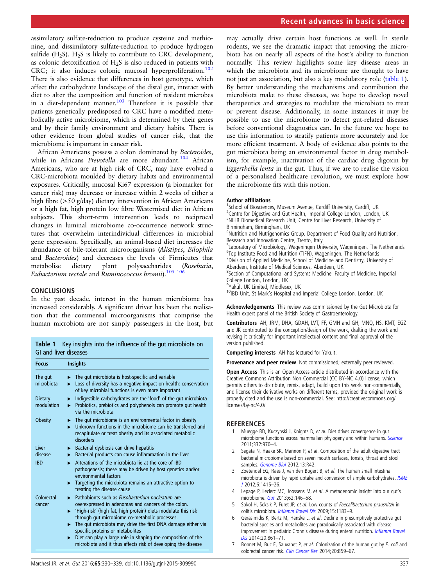<span id="page-7-0"></span>assimilatory sulfate-reduction to produce cysteine and methionine, and dissimilatory sulfate-reduction to produce hydrogen sulfide  $(H_2S)$ .  $H_2S$  is likely to contribute to CRC development, as colonic detoxification of  $H_2S$  is also reduced in patients with CRC; it also induces colonic mucosal hyperproliferation.<sup>102</sup> There is also evidence that differences in host genotype, which affect the carbohydrate landscape of the distal gut, interact with diet to alter the composition and function of resident microbes in a diet-dependent manner.<sup>[103](#page-9-0)</sup> Therefore it is possible that patients genetically predisposed to CRC have a modified metabolically active microbiome, which is determined by their genes and by their family environment and dietary habits. There is other evidence from global studies of cancer risk, that the microbiome is important in cancer risk.

African Americans possess a colon dominated by Bacteroides, while in Africans Prevotella are more abundant.<sup>[104](#page-9-0)</sup> African Americans, who are at high risk of CRC, may have evolved a CRC-microbiota moulded by dietary habits and environmental exposures. Critically, mucosal Ki67 expression (a biomarker for cancer risk) may decrease or increase within 2 weeks of either a high fibre (>50 g/day) dietary intervention in African Americans or a high fat, high protein low fibre Westernised diet in African subjects. This short-term intervention leads to reciprocal changes in luminal microbiome co-occurrence network structures that overwhelm interindividual differences in microbial gene expression. Specifically, an animal-based diet increases the abundance of bile-tolerant microorganisms (Alistipes, Bilophila and Bacteroides) and decreases the levels of Firmicutes that metabolise dietary plant polysaccharides (Roseburia, Eubacterium rectale and Ruminococcus bromii).<sup>105</sup><sup>106</sup>

#### CONCLUSIONS

In the past decade, interest in the human microbiome has increased considerably. A significant driver has been the realisation that the commensal microorganisms that comprise the human microbiota are not simply passengers in the host, but

|                       |  |  |  | <b>Table 1</b> Key insights into the influence of the gut microbiota on |
|-----------------------|--|--|--|-------------------------------------------------------------------------|
| GI and liver diseases |  |  |  |                                                                         |

| <b>Focus</b>          | <b>Insights</b>                                                                                                                                                                                                                                                                                                                                                                                                                                                                           |  |  |  |  |
|-----------------------|-------------------------------------------------------------------------------------------------------------------------------------------------------------------------------------------------------------------------------------------------------------------------------------------------------------------------------------------------------------------------------------------------------------------------------------------------------------------------------------------|--|--|--|--|
| The gut<br>microbiota | The gut microbiota is host-specific and variable<br>Loss of diversity has a negative impact on health; conservation<br>ь<br>of key microbial functions is even more important                                                                                                                                                                                                                                                                                                             |  |  |  |  |
| Dietary<br>modulation | Indigestible carbohydrates are the 'food' of the gut microbiota<br>▶<br>Probiotics, prebiotics and polyphenols can promote gut health<br>ь<br>via the microbiota                                                                                                                                                                                                                                                                                                                          |  |  |  |  |
| <b>Obesity</b>        | The gut microbiome is an environmental factor in obesity<br>×.<br>Unknown functions in the microbiome can be transferred and<br>ь<br>recapitulate or treat obesity and its associated metabolic<br>disorders                                                                                                                                                                                                                                                                              |  |  |  |  |
| Liver<br>disease      | Bacterial dysbiosis can drive hepatitis<br>ь<br>Bacterial products can cause inflammation in the liver<br>ы                                                                                                                                                                                                                                                                                                                                                                               |  |  |  |  |
| <b>IBD</b>            | Alterations of the microbiota lie at the core of IBD<br>ь<br>pathogenesis; these may be driven by host genetics and/or<br>environmental factors<br>Targeting the microbiota remains an attractive option to<br>ь<br>treating the disease cause                                                                                                                                                                                                                                            |  |  |  |  |
| Colorectal<br>cancer  | Pathobionts such as <i>Fusobacterium nucleatum</i> are<br>ы<br>overexpressed in adenomas and cancers of the colon.<br>'High-risk' (high fat, high protein) diets modulate this risk<br>▶<br>through gut microbiome co-metabolic processes.<br>The gut microbiota may drive the first DNA damage either via<br>ь<br>specific proteins or metabolites<br>Diet can play a large role in shaping the composition of the<br>ь<br>microbiota and it thus affects risk of developing the disease |  |  |  |  |

may actually drive certain host functions as well. In sterile rodents, we see the dramatic impact that removing the microbiota has on nearly all aspects of the host's ability to function normally. This review highlights some key disease areas in which the microbiota and its microbiome are thought to have not just an association, but also a key modulatory role (table 1). By better understanding the mechanisms and contribution the microbiota make to these diseases, we hope to develop novel therapeutics and strategies to modulate the microbiota to treat or prevent disease. Additionally, in some instances it may be possible to use the microbiome to detect gut-related diseases before conventional diagnostics can. In the future we hope to use this information to stratify patients more accurately and for more efficient treatment. A body of evidence also points to the gut microbiota being an environmental factor in drug metabolism, for example, inactivation of the cardiac drug digoxin by Eggerthella lenta in the gut. Thus, if we are to realise the vision of a personalised healthcare revolution, we must explore how the microbiome fits with this notion.

#### Author affiliations <sup>1</sup>

<sup>1</sup>School of Biosciences, Museum Avenue, Cardiff University, Cardiff, UK <sup>2</sup> Centre for Digestive and Gut Health, Imperial College London, London, UK <sup>3</sup>NIHR Biomedical Research Unit, Centre for Liver Research, University of Birmingham, Birmingham, UK

<sup>4</sup>Nutrition and Nutrigenomics Group, Department of Food Quality and Nutrition, Research and Innovation Centre, Trento, Italy

<sup>5</sup>Laboratory of Microbiology, Wageningen University, Wageningen, The Netherlands <sup>6</sup>Top Institute Food and Nutrition (TIFN), Wageningen, The Netherlands <sup>7</sup> Division of Applied Medicine, School of Medicine and Dentistry, University of

Aberdeen, Institute of Medical Sciences, Aberdeen, UK

<sup>8</sup>Section of Computational and Systems Medicine, Faculty of Medicine, Imperial College London, London, UK

<sup>9</sup>Yakult UK Limited, Middlesex, UK

<sup>10</sup>IBD Unit, St Mark's Hospital and Imperial College London, London, UK

Acknowledgements This review was commissioned by the Gut Microbiota for Health expert panel of the British Society of Gastroenterology.

Contributors AH, JRM, DHA, GDAH, LVT, FF, GMH and GH, MNQ, HS, KMT, EGZ and JK contributed to the conception/design of the work, drafting the work and revising it critically for important intellectual content and final approval of the version published.

Competing interests AH has lectured for Yakult.

Provenance and peer review Not commissioned; externally peer reviewed.

**Open Access** This is an Open Access article distributed in accordance with the Creative Commons Attribution Non Commercial (CC BY-NC 4.0) license, which permits others to distribute, remix, adapt, build upon this work non-commercially, and license their derivative works on different terms, provided the original work is properly cited and the use is non-commercial. See: [http://creativecommons.org/](http://creativecommons.org/licenses/by-nc/4.0/) [licenses/by-nc/4.0/](http://creativecommons.org/licenses/by-nc/4.0/)

#### **REFERENCES**

- 1 Muegge BD, Kuczynski J, Knights D, et al. Diet drives convergence in gut microbiome functions across mammalian phylogeny and within humans. [Science](http://dx.doi.org/10.1126/science.1198719) 2011;332:970–4.
- 2 Segata N, Haake SK, Mannon P, et al. Composition of the adult digestive tract bacterial microbiome based on seven mouth surfaces, tonsils, throat and stool samples. [Genome Biol](http://dx.doi.org/10.1186/gb-2012-13-6-r42) 2012;13:R42.
- Zoetendal EG, Raes J, van den Bogert B, et al. The human small intestinal microbiota is driven by rapid uptake and conversion of simple carbohydrates. [ISME](http://dx.doi.org/10.1038/ismej.2011.212) [J](http://dx.doi.org/10.1038/ismej.2011.212) 2012;6:1415–26.
- Lepage P, Leclerc MC, Joossens M, et al. A metagenomic insight into our gut's microbiome. [Gut](http://dx.doi.org/10.1136/gutjnl-2011-301805) 2013;62:146–58.
- Sokol H, Seksik P, Furet JP, et al. Low counts of Faecalibacterium prausnitzii in colitis microbiota. Infl[amm Bowel Dis](http://dx.doi.org/10.1002/ibd.20903) 2009;15:1183-9.
- 6 Gerasimidis K, Bertz M, Hanske L, et al. Decline in presumptively protective gut bacterial species and metabolites are paradoxically associated with disease improvement in pediatric Crohn's disease during enteral nutrition. Infl[amm Bowel](http://dx.doi.org/10.1097/MIB.0000000000000023) [Dis](http://dx.doi.org/10.1097/MIB.0000000000000023) 2014;20:861–71.
- 7 Bonnet M, Buc E, Sauvanet P, et al. Colonization of the human gut by E. coli and colorectal cancer risk. [Clin Cancer Res](http://dx.doi.org/10.1158/1078-0432.CCR-13-1343) 2014;20:859–67.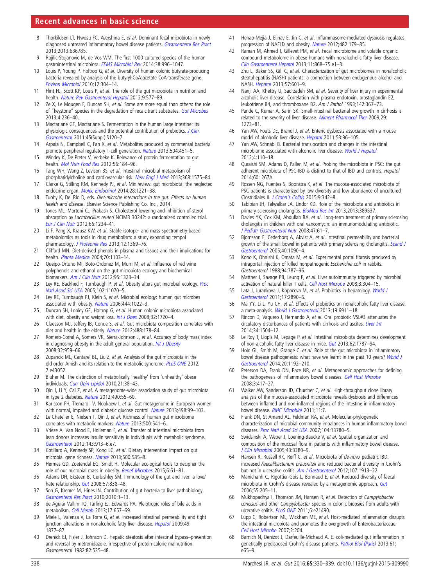# <span id="page-8-0"></span>Recent advances in basic science

- 8 Thorkildsen LT, Nwosu FC, Avershina E, et al. Dominant fecal microbiota in newly diagnosed untreated inflammatory bowel disease patients. [Gastroenterol Res Pract](http://dx.doi.org/10.1155/2013/636785) 2013;2013:636785.
- 9 Rajilic-Stojanovic M, de Vos WM. The first 1000 cultured species of the human gastrointestinal microbiota. [FEMS Microbiol Rev](http://dx.doi.org/10.1111/1574-6976.12075) 2014;38:996–1047.
- 10 Louis P, Young P, Holtrop G, et al. Diversity of human colonic butyrate-producing bacteria revealed by analysis of the butyryl-CoA:acetate CoA-transferase gene. [Environ Microbiol](http://dx.doi.org/10.1111/j.1462-2920.2009.02066.x) 2010;12:304–14.
- 11 Flint HJ, Scott KP, Louis P, et al. The role of the gut microbiota in nutrition and health. [Nature Rev Gastroenterol Hepatol](http://dx.doi.org/10.1038/nrgastro.2012.156) 2012;9:577–89.
- 12 Ze X, Le Mougen F, Duncan SH, et al. Some are more equal than others: the role of "keystone" species in the degradation of recalcitrant substrates. [Gut Microbes](http://dx.doi.org/10.4161/gmic.23998) 2013;4:236–40.
- 13 Macfarlane GT, Macfarlane S. Fermentation in the human large intestine: its physiologic consequences and the potential contribution of prebiotics. [J Clin](http://dx.doi.org/10.1097/MCG.0b013e31822fecfe) [Gastroenterol](http://dx.doi.org/10.1097/MCG.0b013e31822fecfe) 2011;45(Suppl):S120–7.
- Arpaia N, Campbell C, Fan X, et al. Metabolites produced by commensal bacteria promote peripheral regulatory T-cell generation. [Nature](http://dx.doi.org/10.1038/nature12726) 2013;504:451–5.
- 15 Windey K, De Preter V, Verbeke K. Relevance of protein fermentation to gut health. [Mol Nutr Food Res](http://dx.doi.org/10.1002/mnfr.201100542) 2012;56:184–96.
- 16 Tang WH, Wang Z, Levison BS, et al. Intestinal microbial metabolism of phosphatidylcholine and cardiovascular risk. [New Engl J Med](http://dx.doi.org/10.1056/NEJMoa1109400) 2013;368:1575-84.
- 17 Clarke G, Stilling RM, Kennedy PJ, et al. Minireview: gut microbiota: the neglected endocrine organ. [Molec Endocrinol](http://dx.doi.org/10.1210/me.2014-1108) 2014;28:1221-38.
- 18 Tuohy K, Del Rio D, eds. Diet-microbe interactions in the gut. Effects on human health and disease. Elsevier Science Publishing Co. Inc., 2014.
- 19 Jones ML, Martoni CJ, Prakash S. Cholesterol lowering and inhibition of sterol absorption by Lactobacillus reuteri NCIMB 30242: a randomized controlled trial. [Eur J Clin Nutr](http://dx.doi.org/10.1038/ejcn.2012.126) 2012;66:1234–41.
- 20 Li F, Pang X, Krausz KW, et al. Stable isotope- and mass spectrometry-based metabolomics as tools in drug metabolism: a study expanding tempol pharmacology. [J Proteome Res](http://dx.doi.org/10.1021/pr301023x) 2013;12:1369-76.
- 21 Clifford MN. Diet-derived phenols in plasma and tissues and their implications for health. [Planta Medica](http://dx.doi.org/10.1055/s-2004-835835) 2004;70:1103-14.
- 22 Queipo-Ortuno MI, Boto-Ordonez M, Murri M, et al. Influence of red wine polyphenols and ethanol on the gut microbiota ecology and biochemical biomarkers. [Am J Clin Nutr](http://dx.doi.org/10.3945/ajcn.111.027847) 2012;95:1323-34.
- 23 Ley RE, Backhed F, Turnbaugh P, et al. Obesity alters gut microbial ecology. [Proc](http://dx.doi.org/10.1073/pnas.0504978102) [Natl Acad Sci USA](http://dx.doi.org/10.1073/pnas.0504978102) 2005;102:11070–5.
- 24 Ley RE, Turnbaugh PJ, Klein S, et al. Microbial ecology: human gut microbes associated with obesity. [Nature](http://dx.doi.org/10.1038/4441022a) 2006;444:1022-3.
- 25 Duncan SH, Lobley GE, Holtrop G, et al. Human colonic microbiota associated with diet, obesity and weight loss. [Int J Obes](http://dx.doi.org/10.1038/ijo.2008.155) 2008;32:1720-4.
- 26 Claesson MJ, Jeffery IB, Conde S, et al. Gut microbiota composition correlates with diet and health in the elderly. [Nature](http://dx.doi.org/10.1038/nature11319) 2012;488:178–84.
- 27 Romero-Corral A, Somers VK, Sierra-Johnson J, et al. Accuracy of body mass index in diagnosing obesity in the adult general population. [Int J Obesity](http://dx.doi.org/10.1038/ijo.2008.11) 2008;32:959–66.
- 28 Zupancic ML, Cantarel BL, Liu Z, et al. Analysis of the gut microbiota in the old order Amish and its relation to the metabolic syndrome. [PLoS ONE](http://dx.doi.org/10.1371/journal.pone.0043052) 2012; 7:e43052.
- 29 Bluher M. The distinction of metabolically 'healthy' from 'unhealthy' obese individuals. [Curr Opin Lipidol](http://dx.doi.org/10.1097/MOL.0b013e3283346ccc) 2010;21:38-43.
- 30 Qin J, Li Y, Cai Z, et al. A metagenome-wide association study of gut microbiota in type 2 diabetes. [Nature](http://dx.doi.org/10.1038/nature11450) 2012;490:55–60.
- 31 Karlsson FH, Tremaroli V, Nookaew I, et al. Gut metagenome in European women with normal, impaired and diabetic glucose control. [Nature](http://dx.doi.org/10.1038/nature12198) 2013;498:99-103.
- 32 Le Chatelier E, Nielsen T, Qin J, et al. Richness of human gut microbiome correlates with metabolic markers. [Nature](http://dx.doi.org/10.1038/nature12506) 2013;500:541-6.
- 33 Vrieze A, Van Nood E, Holleman F, et al. Transfer of intestinal microbiota from lean donors increases insulin sensitivity in individuals with metabolic syndrome. [Gastroenterol](http://dx.doi.org/10.1053/j.gastro.2012.06.031) 2012;143:913–6.e7.
- 34 Cotillard A, Kennedy SP, Kong LC, et al. Dietary intervention impact on gut microbial gene richness. [Nature](http://dx.doi.org/10.1038/nature12480) 2013;500:585–8.
- 35 Hermes GD, Zoetendal EG, Smidt H. Molecular ecological tools to decipher the role of our microbial mass in obesity. [Benef Microbes](http://dx.doi.org/10.3920/BM2014.0016) 2015;6:61-81.
- 36 Adams DH, Eksteen B, Curbishley SM. Immunology of the gut and liver: a love/ hate relationship. [Gut](http://dx.doi.org/10.1136/gut.2007.122168) 2008;57:838-48.
- 37 Son G, Kremer M, Hines IN. Contribution of gut bacteria to liver pathobiology. [Gastroenterol Res Pract](http://dx.doi.org/10.1155/2010/453563) 2010;2010:1–13.
- 38 de Aguiar Vallim TQ, Tarling EJ, Edwards PA. Pleiotropic roles of bile acids in metabolism. [Cell Metab](http://dx.doi.org/10.1016/j.cmet.2013.03.013) 2013;17:657–69.
- 39 Miele L, Valenza V, La Torre G, et al. Increased intestinal permeability and tight junction alterations in nonalcoholic fatty liver disease. [Hepatol](http://dx.doi.org/10.1002/hep.22848) 2009;49: 1877–87.
- 40 Drenick EJ, Fisler J, Johnson D. Hepatic steatosis after intestinal bypass–prevention and reversal by metronidazole, irrespective of protein-calorie malnutrition. Gastroenterol 1982;82:535–48.
- 41 Henao-Mejia J, Elinav E, Jin C, et al. Inflammasome-mediated dysbiosis regulates progression of NAFLD and obesity. [Nature](http://dx.doi.org/10.1038/nature10809) 2012;482:179-85.
- 42 Raman M, Ahmed I, Gillevet PM, et al. Fecal microbiome and volatile organic compound metabolome in obese humans with nonalcoholic fatty liver disease. [Clin Gastroenterol Hepatol](http://dx.doi.org/10.1016/j.cgh.2013.02.015) 2013;11:868–75.e1–3.
- 43 Zhu L, Baker SS, Gill C, et al. Characterization of gut microbiomes in nonalcoholic steatohepatitis (NASH) patients: a connection between endogenous alcohol and NASH. [Hepatol](http://dx.doi.org/10.1002/hep.26093) 2013;57:601–9.
- 44 Nanji AA, Khettry U, Sadrzadeh SM, et al. Severity of liver injury in experimental alcoholic liver disease. Correlation with plasma endotoxin, prostaglandin E2, leukotriene B4, and thromboxane B2. Am J Pathol 1993;142:367-73.
- 45 Pande C, Kumar A, Sarin SK. Small-intestinal bacterial overgrowth in cirrhosis is related to the severity of liver disease. [Aliment Pharmacol Ther](http://dx.doi.org/10.1111/j.1365-2036.2009.03994.x) 2009;29: 1273–81.
- 46 Yan AW, Fouts DE, Brandl J, et al. Enteric dysbiosis associated with a mouse model of alcoholic liver disease. [Hepatol](http://dx.doi.org/10.1002/hep.24018) 2011;53:96-105.
- 47 Yan AW, Schnabl B. Bacterial translocation and changes in the intestinal microbiome associated with alcoholic liver disease. [World J Hepatol](http://dx.doi.org/10.4254/wjh.v4.i4.110) 2012;4:110–18.
- 48 Quraishi SM, Adams D, Pallen M, et al. Probing the microbiota in PSC: the gut adherent microbiota of PSC-IBD is distinct to that of IBD and controls. Hepatol 2014;60: 267A.
- 49 Rossen NG, Fuentes S, Boonstra K, et al. The mucosa-associated microbiota of PSC patients is characterized by low diversity and low abundance of uncultured Clostridiales II. J Crohn'[s Colitis](http://dx.doi.org/10.1093/ecco-jcc/jju023) 2015;9:342–8.
- 50 Tabibian JH, Talwalkar JA, Lindor KD. Role of the microbiota and antibiotics in primary sclerosing cholangitis. [BioMed Res Int](http://dx.doi.org/10.1155/2013/389537) 2013;2013:389537.
- 51 Davies YK, Cox KM, Abdullah BA, et al. Long-term treatment of primary sclerosing cholangitis in children with oral vancomycin: an immunomodulating antibiotic. [J Pediatr Gastroenterol Nutr](http://dx.doi.org/10.1097/MPG.0b013e31816fee95) 2008;47:61–7.
- 52 Bjornsson E, Cederborg A, Akvist A, et al. Intestinal permeability and bacterial growth of the small bowel in patients with primary sclerosing cholangitis. [Scand J](http://dx.doi.org/10.1080/00365520510023288) [Gastroenterol](http://dx.doi.org/10.1080/00365520510023288) 2005;40:1090–4.
- 53 Kono K, Ohnishi K, Omata M, et al. Experimental portal fibrosis produced by intraportal injection of killed nonpathogenic Escherichia coli in rabbits. Gastroenterol 1988;94:787–96.
- 54 Mattner J, Savage PB, Leung P, et al. Liver autoimmunity triggered by microbial activation of natural killer T cells. [Cell Host Microbe](http://dx.doi.org/10.1016/j.chom.2008.03.009) 2008;3:304-15.
- 55 Lata J, Jurankova J, Kopacova M, et al. Probiotics in hepatology. [World J](http://dx.doi.org/10.3748/wjg.v17.i24.2890) [Gastroenterol](http://dx.doi.org/10.3748/wjg.v17.i24.2890) 2011;17:2890–6.
- 56 Ma YY, Li L, Yu CH, et al. Effects of probiotics on nonalcoholic fatty liver disease: a meta-analysis. [World J Gastroenterol](http://dx.doi.org/10.3748/wjg.v19.i40.6911) 2013;19:6911–18.
- 57 Rincon D, Vaquero J, Hernando A, et al. Oral probiotic VSL#3 attenuates the circulatory disturbances of patients with cirrhosis and ascites. [Liver Int](http://dx.doi.org/10.1111/liv.12539) 2014;34:1504–12.
- 58 Le Roy T, Llopis M, Lepage P, et al. Intestinal microbiota determines development of non-alcoholic fatty liver disease in mice. [Gut](http://dx.doi.org/10.1136/gutjnl-2012-303816) 2013;62:1787–94.
- 59 Hold GL, Smith M, Grange C, et al. Role of the gut microbiota in inflammatory bowel disease pathogenesis: what have we learnt in the past 10 years? [World J](http://dx.doi.org/10.3748/wjg.v20.i5.1192) [Gastroenterol](http://dx.doi.org/10.3748/wjg.v20.i5.1192) 2014;20:1192–210.
- 60 Peterson DA, Frank DN, Pace NR, et al. Metagenomic approaches for defining the pathogenesis of inflammatory bowel diseases. [Cell Host Microbe](http://dx.doi.org/10.1016/j.chom.2008.05.001) 2008;3:417–27.
- 61 Walker AW, Sanderson JD, Churcher C, et al. High-throughput clone library analysis of the mucosa-associated microbiota reveals dysbiosis and differences between inflamed and non-inflamed regions of the intestine in inflammatory bowel disease. [BMC Microbiol](http://dx.doi.org/10.1186/1471-2180-11-7) 2011;11:7.
- 62 Frank DN, St Amand AL, Feldman RA, et al. Molecular-phylogenetic characterization of microbial community imbalances in human inflammatory bowel diseases. [Proc Natl Acad Sci USA](http://dx.doi.org/10.1073/pnas.0706625104) 2007;104:13780–5.
- 63 Swidsinski A, Weber J, Loening-Baucke V, et al. Spatial organization and composition of the mucosal flora in patients with inflammatory bowel disease. [J Clin Microbiol](http://dx.doi.org/10.1128/JCM.43.7.3380-3389.2005) 2005;43:3380–9.
- 64 Hansen R, Russell RK, Reiff C, et al. Microbiota of de-novo pediatric IBD: increased Faecalibacterium prausnitzii and reduced bacterial diversity in Crohn's but not in ulcerative colitis. [Am J Gastroenterol](http://dx.doi.org/10.1038/ajg.2012.335) 2012;107:1913-22.
- 65 Manichanh C, Rigottier-Gois L, Bonnaud E, et al. Reduced diversity of faecal microbiota in Crohn's disease revealed by a metagenomic approach. [Gut](http://dx.doi.org/10.1136/gut.2005.073817) 2006;55:205–11.
- 66 Mukhopadhya I, Thomson JM, Hansen R, et al. Detection of Campylobacter concisus and other Campylobacter species in colonic biopsies from adults with ulcerative colitis. [PLoS ONE](http://dx.doi.org/10.1371/journal.pone.0021490) 2011;6:e21490.
- 67 Lupp C, Robertson ML, Wickham ME, et al. Host-mediated inflammation disrupts the intestinal microbiota and promotes the overgrowth of Enterobacteriaceae. [Cell Host Microbe](http://dx.doi.org/10.1016/j.chom.2007.08.002) 2007;2:204.
- 68 Barnich N, Denizot J, Darfeuille-Michaud A. E. coli-mediated gut inflammation in genetically predisposed Crohn's disease patients. [Pathol Biol \(Paris\)](http://dx.doi.org/10.1016/j.patbio.2010.01.004) 2013;61: e65–9.